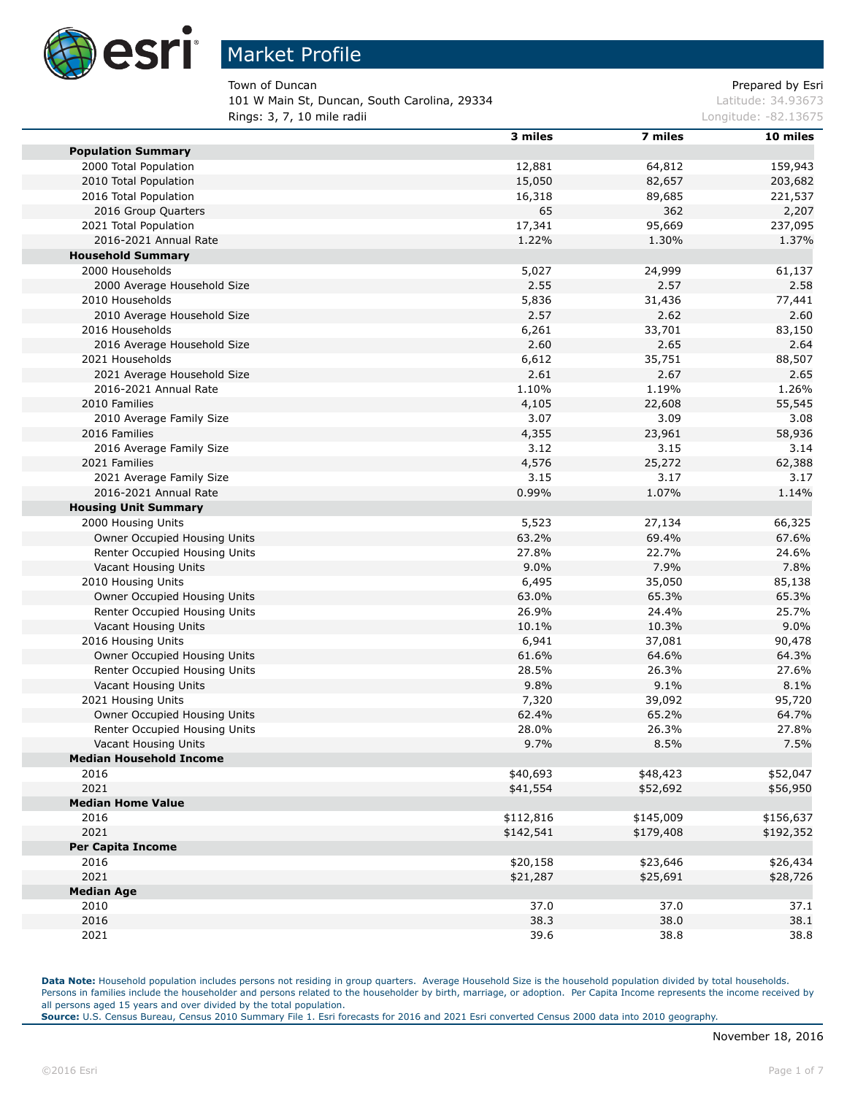

Town of Duncan **Prepared by Esri** Prepared by Esri

101 W Main St, Duncan, South Carolina, 29334 Latitude: 34.93673 **Rings: 3, 7, 10 mile radii Longitude: -82.13675 Longitude: -82.13675** 

| 3 miles   | 7 miles                                                                                                                                                                                                                                                                                                                           | 10 miles                                                                                                                                                                                                                                                                                                                            |
|-----------|-----------------------------------------------------------------------------------------------------------------------------------------------------------------------------------------------------------------------------------------------------------------------------------------------------------------------------------|-------------------------------------------------------------------------------------------------------------------------------------------------------------------------------------------------------------------------------------------------------------------------------------------------------------------------------------|
|           |                                                                                                                                                                                                                                                                                                                                   |                                                                                                                                                                                                                                                                                                                                     |
|           |                                                                                                                                                                                                                                                                                                                                   | 159,943                                                                                                                                                                                                                                                                                                                             |
|           |                                                                                                                                                                                                                                                                                                                                   | 203,682                                                                                                                                                                                                                                                                                                                             |
| 16,318    | 89,685                                                                                                                                                                                                                                                                                                                            | 221,537                                                                                                                                                                                                                                                                                                                             |
| 65        | 362                                                                                                                                                                                                                                                                                                                               | 2,207                                                                                                                                                                                                                                                                                                                               |
| 17,341    | 95,669                                                                                                                                                                                                                                                                                                                            | 237,095                                                                                                                                                                                                                                                                                                                             |
| 1.22%     | 1.30%                                                                                                                                                                                                                                                                                                                             | 1.37%                                                                                                                                                                                                                                                                                                                               |
|           |                                                                                                                                                                                                                                                                                                                                   |                                                                                                                                                                                                                                                                                                                                     |
| 5,027     | 24,999                                                                                                                                                                                                                                                                                                                            | 61,137                                                                                                                                                                                                                                                                                                                              |
| 2.55      | 2.57                                                                                                                                                                                                                                                                                                                              | 2.58                                                                                                                                                                                                                                                                                                                                |
|           |                                                                                                                                                                                                                                                                                                                                   | 77,441                                                                                                                                                                                                                                                                                                                              |
|           | 2.62                                                                                                                                                                                                                                                                                                                              | 2.60                                                                                                                                                                                                                                                                                                                                |
|           |                                                                                                                                                                                                                                                                                                                                   | 83,150                                                                                                                                                                                                                                                                                                                              |
|           |                                                                                                                                                                                                                                                                                                                                   | 2.64                                                                                                                                                                                                                                                                                                                                |
|           |                                                                                                                                                                                                                                                                                                                                   | 88,507                                                                                                                                                                                                                                                                                                                              |
|           |                                                                                                                                                                                                                                                                                                                                   | 2.65                                                                                                                                                                                                                                                                                                                                |
|           |                                                                                                                                                                                                                                                                                                                                   | 1.26%                                                                                                                                                                                                                                                                                                                               |
|           |                                                                                                                                                                                                                                                                                                                                   | 55,545                                                                                                                                                                                                                                                                                                                              |
|           |                                                                                                                                                                                                                                                                                                                                   | 3.08                                                                                                                                                                                                                                                                                                                                |
|           |                                                                                                                                                                                                                                                                                                                                   | 58,936                                                                                                                                                                                                                                                                                                                              |
|           |                                                                                                                                                                                                                                                                                                                                   | 3.14                                                                                                                                                                                                                                                                                                                                |
|           |                                                                                                                                                                                                                                                                                                                                   | 62,388                                                                                                                                                                                                                                                                                                                              |
|           |                                                                                                                                                                                                                                                                                                                                   | 3.17                                                                                                                                                                                                                                                                                                                                |
|           |                                                                                                                                                                                                                                                                                                                                   |                                                                                                                                                                                                                                                                                                                                     |
|           |                                                                                                                                                                                                                                                                                                                                   | 1.14%                                                                                                                                                                                                                                                                                                                               |
|           |                                                                                                                                                                                                                                                                                                                                   |                                                                                                                                                                                                                                                                                                                                     |
|           |                                                                                                                                                                                                                                                                                                                                   | 66,325                                                                                                                                                                                                                                                                                                                              |
|           |                                                                                                                                                                                                                                                                                                                                   | 67.6%                                                                                                                                                                                                                                                                                                                               |
|           |                                                                                                                                                                                                                                                                                                                                   | 24.6%                                                                                                                                                                                                                                                                                                                               |
|           |                                                                                                                                                                                                                                                                                                                                   | 7.8%                                                                                                                                                                                                                                                                                                                                |
|           |                                                                                                                                                                                                                                                                                                                                   | 85,138                                                                                                                                                                                                                                                                                                                              |
|           |                                                                                                                                                                                                                                                                                                                                   | 65.3%                                                                                                                                                                                                                                                                                                                               |
|           |                                                                                                                                                                                                                                                                                                                                   | 25.7%                                                                                                                                                                                                                                                                                                                               |
|           |                                                                                                                                                                                                                                                                                                                                   | 9.0%                                                                                                                                                                                                                                                                                                                                |
|           |                                                                                                                                                                                                                                                                                                                                   | 90,478                                                                                                                                                                                                                                                                                                                              |
|           |                                                                                                                                                                                                                                                                                                                                   | 64.3%                                                                                                                                                                                                                                                                                                                               |
|           |                                                                                                                                                                                                                                                                                                                                   | 27.6%                                                                                                                                                                                                                                                                                                                               |
|           |                                                                                                                                                                                                                                                                                                                                   | 8.1%                                                                                                                                                                                                                                                                                                                                |
|           |                                                                                                                                                                                                                                                                                                                                   | 95,720                                                                                                                                                                                                                                                                                                                              |
|           |                                                                                                                                                                                                                                                                                                                                   | 64.7%                                                                                                                                                                                                                                                                                                                               |
| 28.0%     | 26.3%                                                                                                                                                                                                                                                                                                                             | 27.8%                                                                                                                                                                                                                                                                                                                               |
| 9.7%      | 8.5%                                                                                                                                                                                                                                                                                                                              | 7.5%                                                                                                                                                                                                                                                                                                                                |
|           |                                                                                                                                                                                                                                                                                                                                   |                                                                                                                                                                                                                                                                                                                                     |
| \$40,693  | \$48,423                                                                                                                                                                                                                                                                                                                          | \$52,047                                                                                                                                                                                                                                                                                                                            |
| \$41,554  | \$52,692                                                                                                                                                                                                                                                                                                                          | \$56,950                                                                                                                                                                                                                                                                                                                            |
|           |                                                                                                                                                                                                                                                                                                                                   |                                                                                                                                                                                                                                                                                                                                     |
| \$112,816 | \$145,009                                                                                                                                                                                                                                                                                                                         | \$156,637                                                                                                                                                                                                                                                                                                                           |
|           |                                                                                                                                                                                                                                                                                                                                   | \$192,352                                                                                                                                                                                                                                                                                                                           |
|           |                                                                                                                                                                                                                                                                                                                                   |                                                                                                                                                                                                                                                                                                                                     |
|           |                                                                                                                                                                                                                                                                                                                                   | \$26,434                                                                                                                                                                                                                                                                                                                            |
|           |                                                                                                                                                                                                                                                                                                                                   | \$28,726                                                                                                                                                                                                                                                                                                                            |
|           |                                                                                                                                                                                                                                                                                                                                   |                                                                                                                                                                                                                                                                                                                                     |
|           |                                                                                                                                                                                                                                                                                                                                   | 37.1                                                                                                                                                                                                                                                                                                                                |
|           |                                                                                                                                                                                                                                                                                                                                   | 38.1                                                                                                                                                                                                                                                                                                                                |
|           |                                                                                                                                                                                                                                                                                                                                   | 38.8                                                                                                                                                                                                                                                                                                                                |
|           | 12,881<br>15,050<br>5,836<br>2.57<br>6,261<br>2.60<br>6,612<br>2.61<br>1.10%<br>4,105<br>3.07<br>4,355<br>3.12<br>4,576<br>3.15<br>0.99%<br>5,523<br>63.2%<br>27.8%<br>9.0%<br>6,495<br>63.0%<br>26.9%<br>10.1%<br>6,941<br>61.6%<br>28.5%<br>9.8%<br>7,320<br>62.4%<br>\$142,541<br>\$20,158<br>\$21,287<br>37.0<br>38.3<br>39.6 | 64,812<br>82,657<br>31,436<br>33,701<br>2.65<br>35,751<br>2.67<br>1.19%<br>22,608<br>3.09<br>23,961<br>3.15<br>25,272<br>3.17<br>1.07%<br>27,134<br>69.4%<br>22.7%<br>7.9%<br>35,050<br>65.3%<br>24.4%<br>10.3%<br>37,081<br>64.6%<br>26.3%<br>9.1%<br>39,092<br>65.2%<br>\$179,408<br>\$23,646<br>\$25,691<br>37.0<br>38.0<br>38.8 |

Data Note: Household population includes persons not residing in group quarters. Average Household Size is the household population divided by total households. Persons in families include the householder and persons related to the householder by birth, marriage, or adoption. Per Capita Income represents the income received by all persons aged 15 years and over divided by the total population.

**Source:** U.S. Census Bureau, Census 2010 Summary File 1. Esri forecasts for 2016 and 2021 Esri converted Census 2000 data into 2010 geography.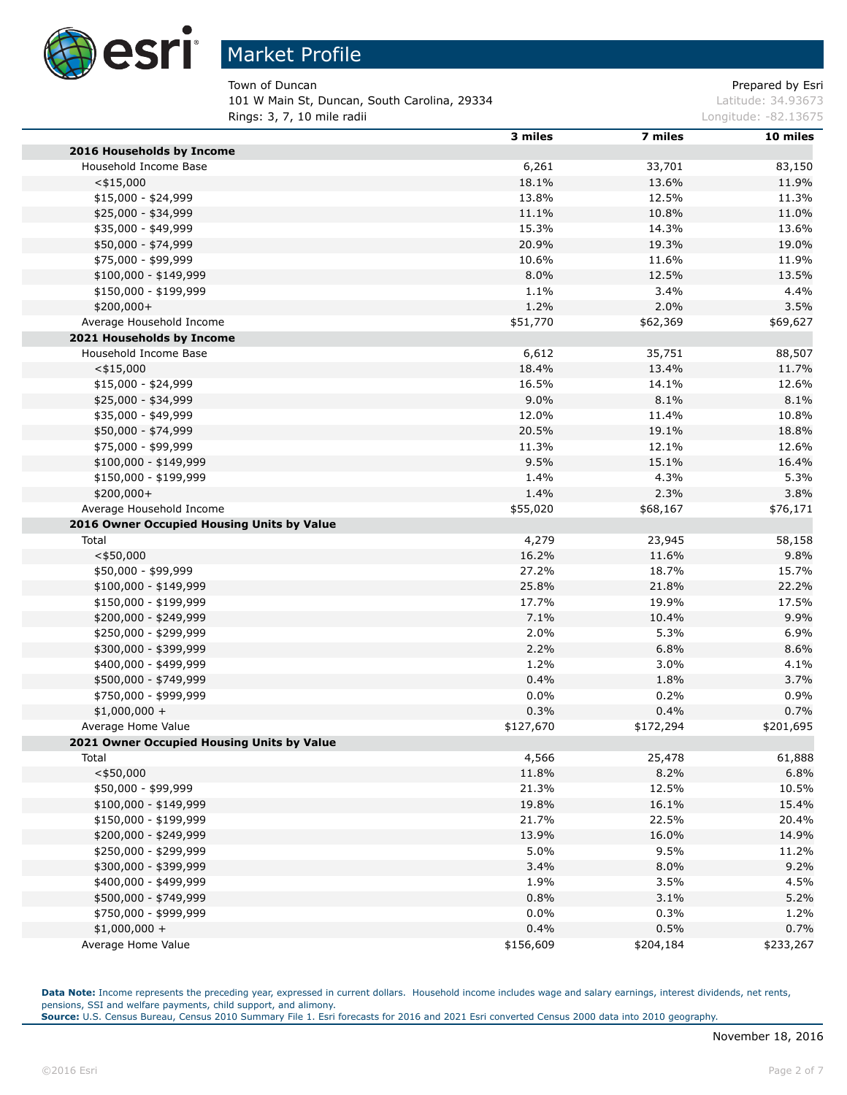

Town of Duncan **Prepared by Esri** Prepared by Esri 101 W Main St, Duncan, South Carolina, 29334 Latitude: 34.93673 **Rings: 3, 7, 10 mile radii Longitude: -82.13675 Longitude: -82.13675** 

|                                            | 3 miles   | 7 miles   | 10 miles  |
|--------------------------------------------|-----------|-----------|-----------|
| 2016 Households by Income                  |           |           |           |
| Household Income Base                      | 6,261     | 33,701    | 83,150    |
| $<$ \$15,000                               | 18.1%     | 13.6%     | 11.9%     |
| $$15,000 - $24,999$                        | 13.8%     | 12.5%     | 11.3%     |
| \$25,000 - \$34,999                        | 11.1%     | 10.8%     | 11.0%     |
| \$35,000 - \$49,999                        | 15.3%     | 14.3%     | 13.6%     |
| \$50,000 - \$74,999                        | 20.9%     | 19.3%     | 19.0%     |
| \$75,000 - \$99,999                        | 10.6%     | 11.6%     | 11.9%     |
| $$100,000 - $149,999$                      | 8.0%      | 12.5%     | 13.5%     |
| \$150,000 - \$199,999                      | 1.1%      | 3.4%      | 4.4%      |
| $$200,000+$                                | 1.2%      | 2.0%      | 3.5%      |
| Average Household Income                   | \$51,770  | \$62,369  | \$69,627  |
| 2021 Households by Income                  |           |           |           |
| Household Income Base                      | 6,612     | 35,751    | 88,507    |
| $<$ \$15,000                               | 18.4%     | 13.4%     | 11.7%     |
| $$15,000 - $24,999$                        | 16.5%     | 14.1%     | 12.6%     |
| \$25,000 - \$34,999                        | 9.0%      | 8.1%      | 8.1%      |
| \$35,000 - \$49,999                        | 12.0%     | 11.4%     | 10.8%     |
| \$50,000 - \$74,999                        | 20.5%     | 19.1%     | 18.8%     |
| \$75,000 - \$99,999                        | 11.3%     | 12.1%     | 12.6%     |
| \$100,000 - \$149,999                      | 9.5%      | 15.1%     | 16.4%     |
| \$150,000 - \$199,999                      | 1.4%      | 4.3%      | 5.3%      |
| \$200,000+                                 | 1.4%      | 2.3%      | 3.8%      |
| Average Household Income                   | \$55,020  | \$68,167  | \$76,171  |
| 2016 Owner Occupied Housing Units by Value |           |           |           |
| Total                                      | 4,279     | 23,945    | 58,158    |
| $<$ \$50,000                               | 16.2%     | 11.6%     | 9.8%      |
| \$50,000 - \$99,999                        | 27.2%     | 18.7%     | 15.7%     |
| \$100,000 - \$149,999                      | 25.8%     | 21.8%     | 22.2%     |
| \$150,000 - \$199,999                      | 17.7%     | 19.9%     | 17.5%     |
| \$200,000 - \$249,999                      | 7.1%      | 10.4%     | 9.9%      |
| \$250,000 - \$299,999                      | 2.0%      | 5.3%      | 6.9%      |
| \$300,000 - \$399,999                      | 2.2%      | 6.8%      | 8.6%      |
| \$400,000 - \$499,999                      | 1.2%      | 3.0%      | 4.1%      |
| \$500,000 - \$749,999                      | 0.4%      | 1.8%      | 3.7%      |
| \$750,000 - \$999,999                      | $0.0\%$   | 0.2%      | 0.9%      |
| $$1,000,000 +$                             | 0.3%      | 0.4%      | 0.7%      |
| Average Home Value                         |           |           |           |
| 2021 Owner Occupied Housing Units by Value | \$127,670 | \$172,294 | \$201,695 |
|                                            |           |           |           |
| Total                                      | 4,566     | 25,478    | 61,888    |
| $<$ \$50,000                               | 11.8%     | 8.2%      | 6.8%      |
| \$50,000 - \$99,999                        | 21.3%     | 12.5%     | 10.5%     |
| $$100,000 - $149,999$                      | 19.8%     | 16.1%     | 15.4%     |
| \$150,000 - \$199,999                      | 21.7%     | 22.5%     | 20.4%     |
| \$200,000 - \$249,999                      | 13.9%     | 16.0%     | 14.9%     |
| \$250,000 - \$299,999                      | 5.0%      | 9.5%      | 11.2%     |
| \$300,000 - \$399,999                      | 3.4%      | 8.0%      | 9.2%      |
| \$400,000 - \$499,999                      | 1.9%      | 3.5%      | 4.5%      |
| \$500,000 - \$749,999                      | 0.8%      | 3.1%      | 5.2%      |
| \$750,000 - \$999,999                      | $0.0\%$   | 0.3%      | 1.2%      |
| $$1,000,000 +$                             | 0.4%      | 0.5%      | 0.7%      |
| Average Home Value                         | \$156,609 | \$204,184 | \$233,267 |

Data Note: Income represents the preceding year, expressed in current dollars. Household income includes wage and salary earnings, interest dividends, net rents, pensions, SSI and welfare payments, child support, and alimony.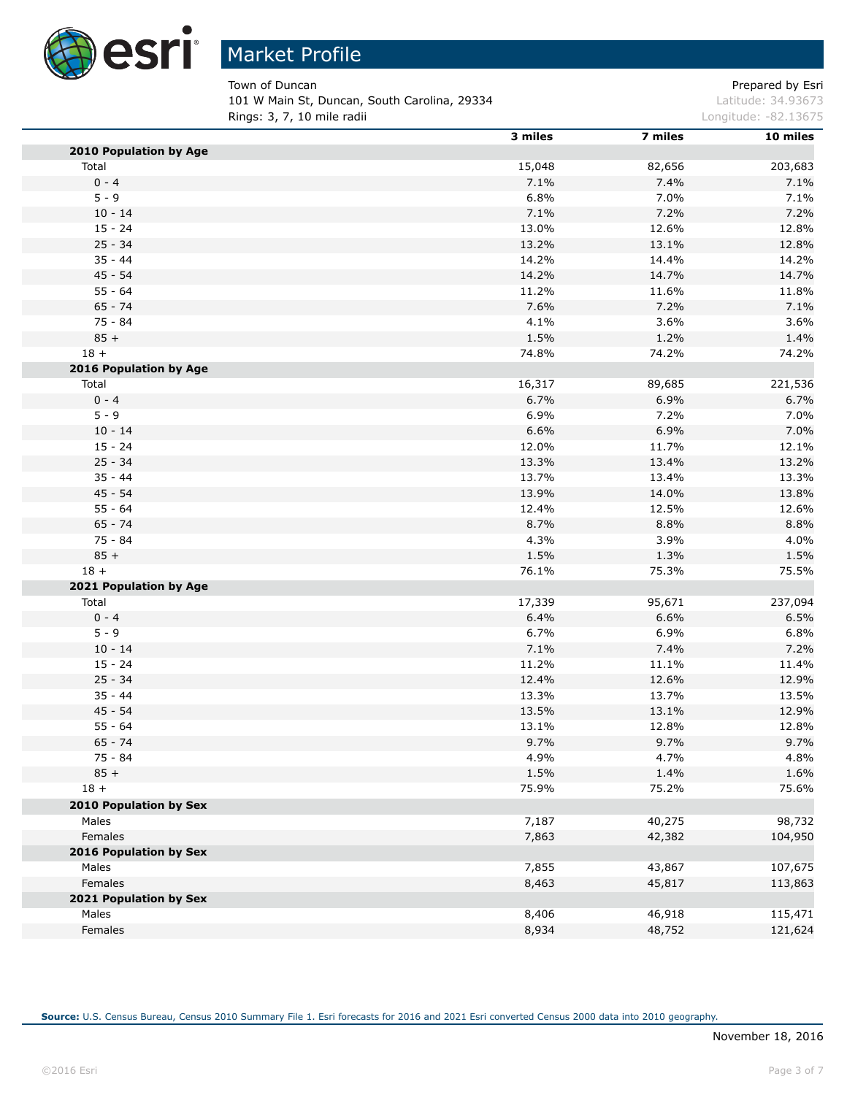

Town of Duncan **Prepared by Esri** Prepared by Esri 101 W Main St, Duncan, South Carolina, 29334 Latitude: 34.93673 **Rings: 3, 7, 10 mile radii Longitude: -82.13675 Longitude: -82.13675** 

|                        | 3 miles | 7 miles | 10 miles |
|------------------------|---------|---------|----------|
| 2010 Population by Age |         |         |          |
| Total                  | 15,048  | 82,656  | 203,683  |
| $0 - 4$                | 7.1%    | 7.4%    | 7.1%     |
| $5 - 9$                | 6.8%    | 7.0%    | 7.1%     |
| $10 - 14$              | 7.1%    | 7.2%    | 7.2%     |
| $15 - 24$              | 13.0%   | 12.6%   | 12.8%    |
| $25 - 34$              | 13.2%   | 13.1%   | 12.8%    |
| $35 - 44$              | 14.2%   | 14.4%   | 14.2%    |
| 45 - 54                | 14.2%   | 14.7%   | 14.7%    |
| $55 - 64$              | 11.2%   | 11.6%   | 11.8%    |
| $65 - 74$              | 7.6%    | 7.2%    | 7.1%     |
| $75 - 84$              | 4.1%    | 3.6%    | 3.6%     |
| $85 +$                 | 1.5%    | 1.2%    | 1.4%     |
| $18 +$                 | 74.8%   | 74.2%   | 74.2%    |
| 2016 Population by Age |         |         |          |
| Total                  | 16,317  | 89,685  | 221,536  |
| $0 - 4$                | 6.7%    | 6.9%    | 6.7%     |
| $5 - 9$                | 6.9%    | 7.2%    | 7.0%     |
| $10 - 14$              | 6.6%    | 6.9%    | 7.0%     |
| $15 - 24$              | 12.0%   | 11.7%   | 12.1%    |
| $25 - 34$              | 13.3%   | 13.4%   | 13.2%    |
| $35 - 44$              | 13.7%   | 13.4%   | 13.3%    |
| 45 - 54                | 13.9%   | 14.0%   | 13.8%    |
| $55 - 64$              | 12.4%   | 12.5%   | 12.6%    |
| $65 - 74$              | 8.7%    | 8.8%    | 8.8%     |
| 75 - 84                | 4.3%    | 3.9%    | 4.0%     |
| $85 +$                 | 1.5%    | 1.3%    | 1.5%     |
| $18 +$                 | 76.1%   | 75.3%   | 75.5%    |
| 2021 Population by Age |         |         |          |
| Total                  | 17,339  | 95,671  | 237,094  |
| $0 - 4$                | 6.4%    | 6.6%    | 6.5%     |
| $5 - 9$                | 6.7%    | 6.9%    | 6.8%     |
| $10 - 14$              | 7.1%    | 7.4%    | 7.2%     |
| $15 - 24$              | 11.2%   | 11.1%   | 11.4%    |
| $25 - 34$              | 12.4%   | 12.6%   | 12.9%    |
| $35 - 44$              | 13.3%   | 13.7%   | 13.5%    |
| 45 - 54                | 13.5%   | 13.1%   | 12.9%    |
| $55 - 64$              | 13.1%   | 12.8%   | 12.8%    |
| $65 - 74$              | 9.7%    | 9.7%    | 9.7%     |
| 75 - 84                | 4.9%    | 4.7%    | 4.8%     |
| $85 +$                 | 1.5%    | 1.4%    | 1.6%     |
| $18 +$                 | 75.9%   | 75.2%   | 75.6%    |
| 2010 Population by Sex |         |         |          |
| Males                  | 7,187   | 40,275  | 98,732   |
| Females                | 7,863   | 42,382  | 104,950  |
| 2016 Population by Sex |         |         |          |
| Males                  | 7,855   | 43,867  | 107,675  |
| Females                | 8,463   | 45,817  | 113,863  |
| 2021 Population by Sex |         |         |          |
| Males                  | 8,406   | 46,918  | 115,471  |
| Females                | 8,934   | 48,752  | 121,624  |
|                        |         |         |          |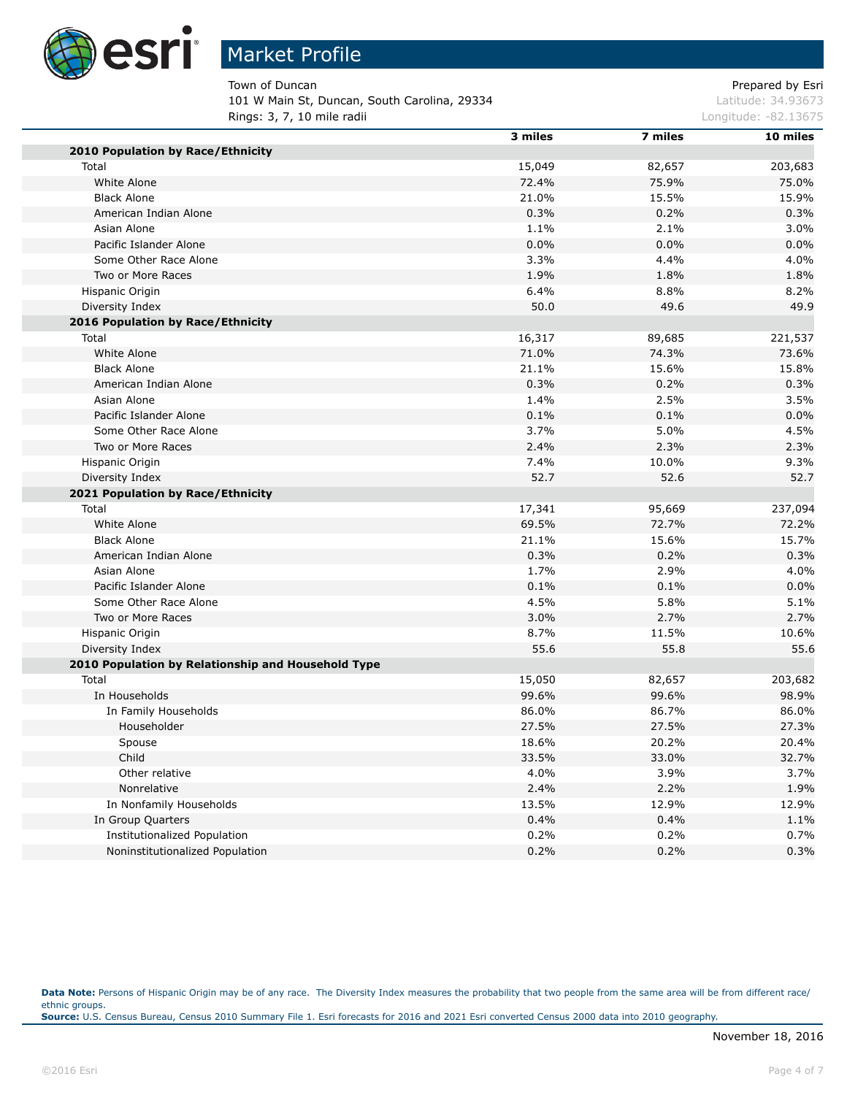

Town of Duncan **Prepared by Esri** Prepared by Esri 101 W Main St, Duncan, South Carolina, 29334 Latitude: 34.93673 **Rings: 3, 7, 10 mile radii Longitude: -82.13675 Longitude: -82.13675** 

|                                                    | 3 miles | 7 miles | 10 miles |
|----------------------------------------------------|---------|---------|----------|
| 2010 Population by Race/Ethnicity                  |         |         |          |
| Total                                              | 15,049  | 82,657  | 203,683  |
| White Alone                                        | 72.4%   | 75.9%   | 75.0%    |
| <b>Black Alone</b>                                 | 21.0%   | 15.5%   | 15.9%    |
| American Indian Alone                              | 0.3%    | 0.2%    | 0.3%     |
| Asian Alone                                        | 1.1%    | 2.1%    | 3.0%     |
| Pacific Islander Alone                             | 0.0%    | 0.0%    | 0.0%     |
| Some Other Race Alone                              | 3.3%    | 4.4%    | 4.0%     |
| Two or More Races                                  | 1.9%    | 1.8%    | 1.8%     |
| Hispanic Origin                                    | 6.4%    | 8.8%    | 8.2%     |
| Diversity Index                                    | 50.0    | 49.6    | 49.9     |
| 2016 Population by Race/Ethnicity                  |         |         |          |
| Total                                              | 16,317  | 89,685  | 221,537  |
| White Alone                                        | 71.0%   | 74.3%   | 73.6%    |
| <b>Black Alone</b>                                 | 21.1%   | 15.6%   | 15.8%    |
| American Indian Alone                              | 0.3%    | 0.2%    | 0.3%     |
| Asian Alone                                        | 1.4%    | 2.5%    | 3.5%     |
| Pacific Islander Alone                             | 0.1%    | 0.1%    | 0.0%     |
| Some Other Race Alone                              | 3.7%    | 5.0%    | 4.5%     |
| Two or More Races                                  | 2.4%    | 2.3%    | 2.3%     |
| Hispanic Origin                                    | 7.4%    | 10.0%   | 9.3%     |
| Diversity Index                                    | 52.7    | 52.6    | 52.7     |
| 2021 Population by Race/Ethnicity                  |         |         |          |
| Total                                              | 17,341  | 95,669  | 237,094  |
| White Alone                                        | 69.5%   | 72.7%   | 72.2%    |
| <b>Black Alone</b>                                 | 21.1%   | 15.6%   | 15.7%    |
| American Indian Alone                              | 0.3%    | 0.2%    | 0.3%     |
| Asian Alone                                        | 1.7%    | 2.9%    | 4.0%     |
| Pacific Islander Alone                             | 0.1%    | 0.1%    | 0.0%     |
| Some Other Race Alone                              | 4.5%    | 5.8%    | 5.1%     |
| Two or More Races                                  | 3.0%    | 2.7%    | 2.7%     |
| Hispanic Origin                                    | 8.7%    | 11.5%   | 10.6%    |
| Diversity Index                                    | 55.6    | 55.8    | 55.6     |
| 2010 Population by Relationship and Household Type |         |         |          |
| Total                                              | 15,050  | 82,657  | 203,682  |
| In Households                                      | 99.6%   | 99.6%   | 98.9%    |
| In Family Households                               | 86.0%   | 86.7%   | 86.0%    |
| Householder                                        | 27.5%   | 27.5%   | 27.3%    |
| Spouse                                             | 18.6%   | 20.2%   | 20.4%    |
| Child                                              | 33.5%   | 33.0%   | 32.7%    |
| Other relative                                     | 4.0%    | 3.9%    | 3.7%     |
| Nonrelative                                        | 2.4%    | 2.2%    | 1.9%     |
| In Nonfamily Households                            | 13.5%   | 12.9%   | 12.9%    |
| In Group Quarters                                  | 0.4%    | 0.4%    | 1.1%     |
| <b>Institutionalized Population</b>                | 0.2%    | 0.2%    | 0.7%     |
| Noninstitutionalized Population                    | 0.2%    | 0.2%    | 0.3%     |
|                                                    |         |         |          |

Data Note: Persons of Hispanic Origin may be of any race. The Diversity Index measures the probability that two people from the same area will be from different race/ ethnic groups. **Source:** U.S. Census Bureau, Census 2010 Summary File 1. Esri forecasts for 2016 and 2021 Esri converted Census 2000 data into 2010 geography.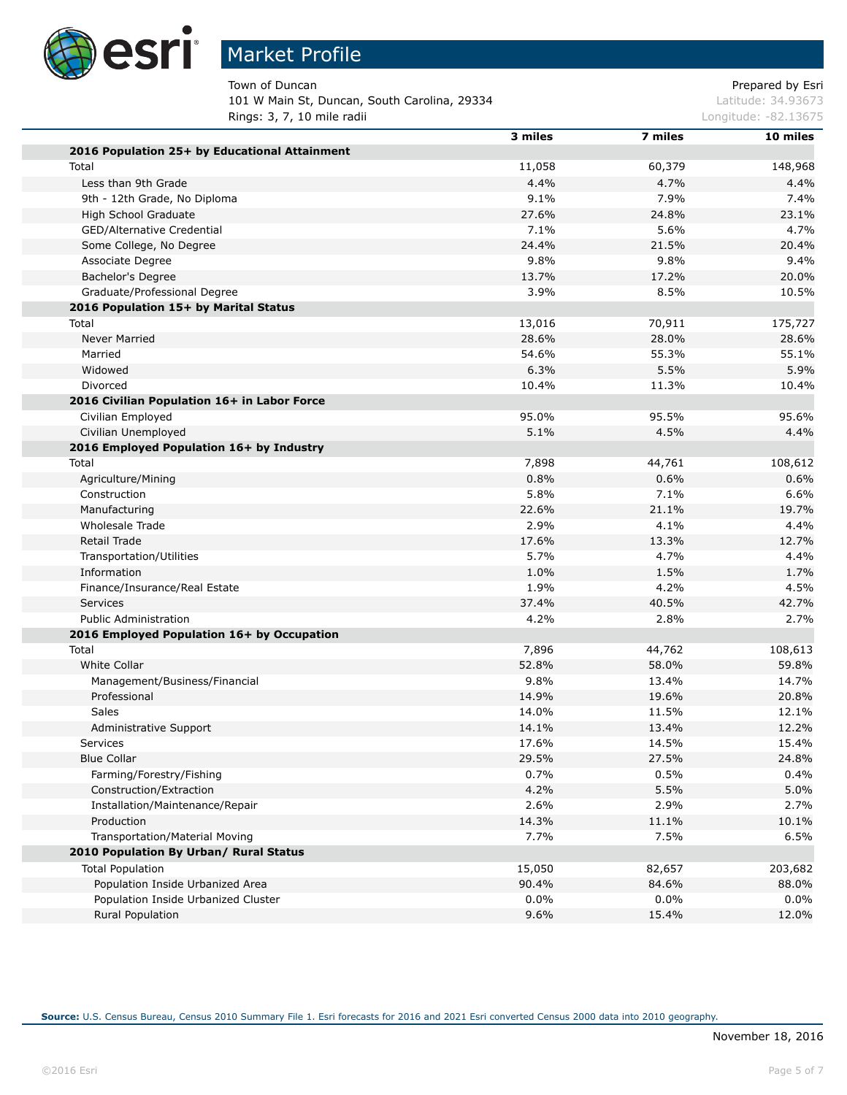

## Market Profile

Town of Duncan **Prepared by Esri** Prepared by Esri 101 W Main St, Duncan, South Carolina, 29334 Latitude: 34.93673 **Rings: 3, 7, 10 mile radii Longitude: -82.13675 Longitude: -82.13675** 

|                                               | 3 miles | 7 miles | 10 miles |
|-----------------------------------------------|---------|---------|----------|
| 2016 Population 25+ by Educational Attainment |         |         |          |
| Total                                         | 11,058  | 60,379  | 148,968  |
| Less than 9th Grade                           | 4.4%    | 4.7%    | 4.4%     |
| 9th - 12th Grade, No Diploma                  | 9.1%    | 7.9%    | 7.4%     |
| High School Graduate                          | 27.6%   | 24.8%   | 23.1%    |
| GED/Alternative Credential                    | 7.1%    | 5.6%    | 4.7%     |
| Some College, No Degree                       | 24.4%   | 21.5%   | 20.4%    |
| Associate Degree                              | 9.8%    | 9.8%    | 9.4%     |
| Bachelor's Degree                             | 13.7%   | 17.2%   | 20.0%    |
| Graduate/Professional Degree                  | 3.9%    | 8.5%    | 10.5%    |
| 2016 Population 15+ by Marital Status         |         |         |          |
| Total                                         | 13,016  | 70,911  | 175,727  |
| Never Married                                 | 28.6%   | 28.0%   | 28.6%    |
| Married                                       | 54.6%   | 55.3%   | 55.1%    |
| Widowed                                       | 6.3%    | 5.5%    | 5.9%     |
| Divorced                                      | 10.4%   | 11.3%   | 10.4%    |
| 2016 Civilian Population 16+ in Labor Force   |         |         |          |
| Civilian Employed                             | 95.0%   | 95.5%   | 95.6%    |
| Civilian Unemployed                           | 5.1%    | 4.5%    | 4.4%     |
| 2016 Employed Population 16+ by Industry      |         |         |          |
| Total                                         | 7,898   | 44,761  | 108,612  |
| Agriculture/Mining                            | 0.8%    | 0.6%    | 0.6%     |
| Construction                                  | 5.8%    | 7.1%    | 6.6%     |
| Manufacturing                                 | 22.6%   | 21.1%   | 19.7%    |
| Wholesale Trade                               | 2.9%    | 4.1%    | 4.4%     |
| Retail Trade                                  | 17.6%   | 13.3%   | 12.7%    |
| Transportation/Utilities                      | 5.7%    | 4.7%    | 4.4%     |
| Information                                   | 1.0%    | 1.5%    | 1.7%     |
| Finance/Insurance/Real Estate                 | 1.9%    | 4.2%    | 4.5%     |
| Services                                      | 37.4%   | 40.5%   | 42.7%    |
| <b>Public Administration</b>                  | 4.2%    | 2.8%    | 2.7%     |
| 2016 Employed Population 16+ by Occupation    |         |         |          |
| Total                                         | 7,896   | 44,762  | 108,613  |
| <b>White Collar</b>                           | 52.8%   | 58.0%   | 59.8%    |
| Management/Business/Financial                 | 9.8%    | 13.4%   | 14.7%    |
| Professional                                  | 14.9%   | 19.6%   | 20.8%    |
| Sales                                         | 14.0%   | 11.5%   | 12.1%    |
| Administrative Support                        | 14.1%   | 13.4%   | 12.2%    |
| Services                                      | 17.6%   | 14.5%   | 15.4%    |
| <b>Blue Collar</b>                            | 29.5%   | 27.5%   | 24.8%    |
| Farming/Forestry/Fishing                      | 0.7%    | 0.5%    | 0.4%     |
| Construction/Extraction                       | 4.2%    | 5.5%    | 5.0%     |
| Installation/Maintenance/Repair               | 2.6%    | 2.9%    | 2.7%     |
| Production                                    | 14.3%   | 11.1%   | 10.1%    |
| Transportation/Material Moving                | 7.7%    | 7.5%    | 6.5%     |
| 2010 Population By Urban/ Rural Status        |         |         |          |
| <b>Total Population</b>                       | 15,050  | 82,657  | 203,682  |
| Population Inside Urbanized Area              | 90.4%   | 84.6%   | 88.0%    |
| Population Inside Urbanized Cluster           | 0.0%    | 0.0%    | 0.0%     |
| <b>Rural Population</b>                       | 9.6%    | 15.4%   | 12.0%    |
|                                               |         |         |          |

**Source:** U.S. Census Bureau, Census 2010 Summary File 1. Esri forecasts for 2016 and 2021 Esri converted Census 2000 data into 2010 geography.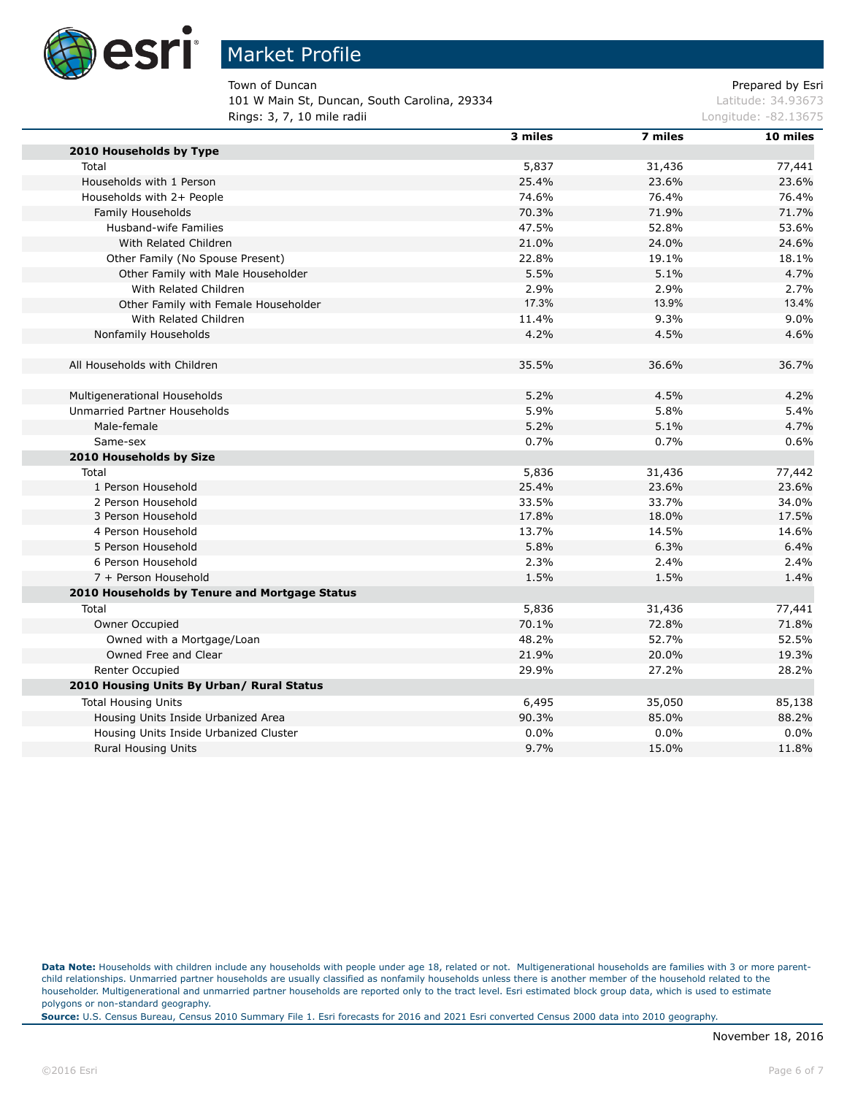

Town of Duncan **Prepared by Esri** Prepared by Esri 101 W Main St, Duncan, South Carolina, 29334 Latitude: 34.93673 Rings: 3, 7, 10 mile radii

|                                               | 3 miles | 7 miles | 10 miles |
|-----------------------------------------------|---------|---------|----------|
| 2010 Households by Type                       |         |         |          |
| Total                                         | 5,837   | 31,436  | 77,441   |
| Households with 1 Person                      | 25.4%   | 23.6%   | 23.6%    |
| Households with 2+ People                     | 74.6%   | 76.4%   | 76.4%    |
| Family Households                             | 70.3%   | 71.9%   | 71.7%    |
| Husband-wife Families                         | 47.5%   | 52.8%   | 53.6%    |
| With Related Children                         | 21.0%   | 24.0%   | 24.6%    |
| Other Family (No Spouse Present)              | 22.8%   | 19.1%   | 18.1%    |
| Other Family with Male Householder            | 5.5%    | 5.1%    | 4.7%     |
| With Related Children                         | 2.9%    | 2.9%    | 2.7%     |
| Other Family with Female Householder          | 17.3%   | 13.9%   | 13.4%    |
| With Related Children                         | 11.4%   | 9.3%    | 9.0%     |
| Nonfamily Households                          | 4.2%    | 4.5%    | 4.6%     |
| All Households with Children                  | 35.5%   | 36.6%   | 36.7%    |
| Multigenerational Households                  | 5.2%    | 4.5%    | 4.2%     |
| Unmarried Partner Households                  | 5.9%    | 5.8%    | 5.4%     |
| Male-female                                   | 5.2%    | 5.1%    | 4.7%     |
| Same-sex                                      | 0.7%    | 0.7%    | 0.6%     |
| 2010 Households by Size                       |         |         |          |
| Total                                         | 5,836   | 31,436  | 77,442   |
| 1 Person Household                            | 25.4%   | 23.6%   | 23.6%    |
| 2 Person Household                            | 33.5%   | 33.7%   | 34.0%    |
| 3 Person Household                            | 17.8%   | 18.0%   | 17.5%    |
| 4 Person Household                            | 13.7%   | 14.5%   | 14.6%    |
| 5 Person Household                            | 5.8%    | 6.3%    | 6.4%     |
| 6 Person Household                            | 2.3%    | 2.4%    | 2.4%     |
| 7 + Person Household                          | 1.5%    | 1.5%    | 1.4%     |
| 2010 Households by Tenure and Mortgage Status |         |         |          |
| Total                                         | 5,836   | 31,436  | 77,441   |
| Owner Occupied                                | 70.1%   | 72.8%   | 71.8%    |
| Owned with a Mortgage/Loan                    | 48.2%   | 52.7%   | 52.5%    |
| Owned Free and Clear                          | 21.9%   | 20.0%   | 19.3%    |
| Renter Occupied                               | 29.9%   | 27.2%   | 28.2%    |
| 2010 Housing Units By Urban/ Rural Status     |         |         |          |
| <b>Total Housing Units</b>                    | 6,495   | 35,050  | 85,138   |
| Housing Units Inside Urbanized Area           | 90.3%   | 85.0%   | 88.2%    |
| Housing Units Inside Urbanized Cluster        | 0.0%    | 0.0%    | 0.0%     |
| <b>Rural Housing Units</b>                    | 9.7%    | 15.0%   | 11.8%    |
|                                               |         |         |          |

Data Note: Households with children include any households with people under age 18, related or not. Multigenerational households are families with 3 or more parentchild relationships. Unmarried partner households are usually classified as nonfamily households unless there is another member of the household related to the householder. Multigenerational and unmarried partner households are reported only to the tract level. Esri estimated block group data, which is used to estimate polygons or non-standard geography.

**Source:** U.S. Census Bureau, Census 2010 Summary File 1. Esri forecasts for 2016 and 2021 Esri converted Census 2000 data into 2010 geography.